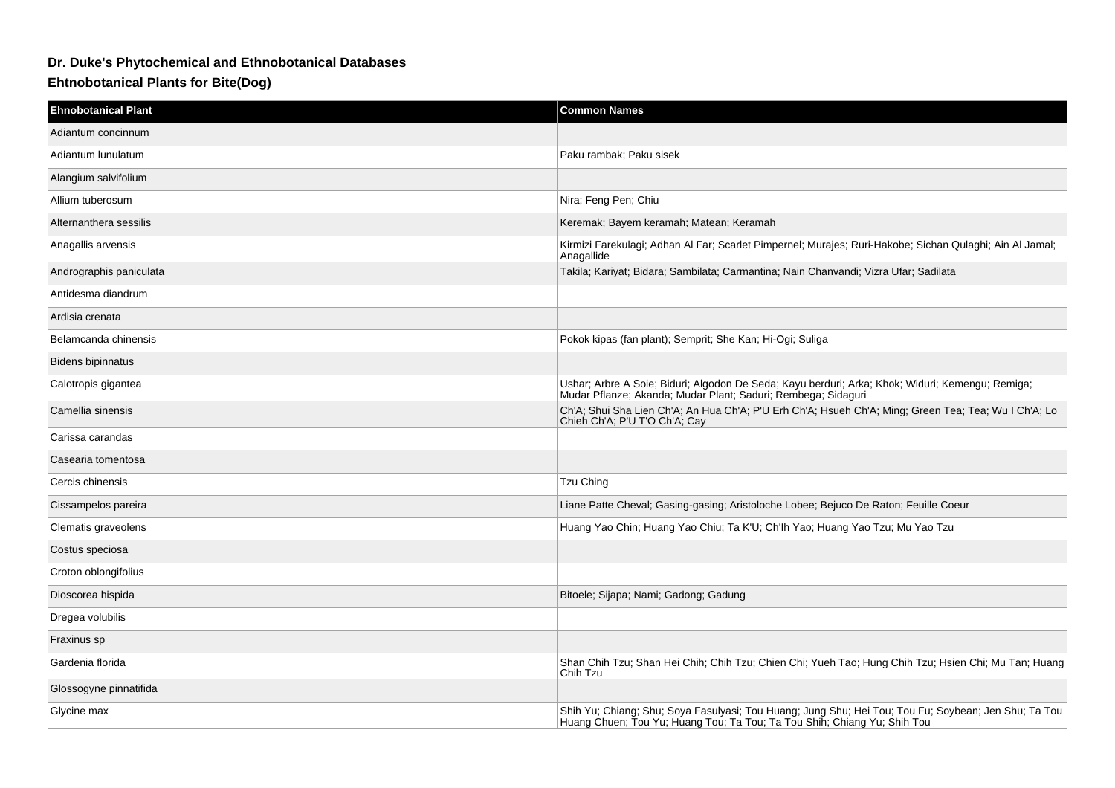## **Dr. Duke's Phytochemical and Ethnobotanical Databases**

**Ehtnobotanical Plants for Bite(Dog)**

| <b>Ehnobotanical Plant</b> | <b>Common Names</b>                                                                                                                                                              |
|----------------------------|----------------------------------------------------------------------------------------------------------------------------------------------------------------------------------|
| Adiantum concinnum         |                                                                                                                                                                                  |
| Adiantum lunulatum         | Paku rambak; Paku sisek                                                                                                                                                          |
| Alangium salvifolium       |                                                                                                                                                                                  |
| Allium tuberosum           | Nira; Feng Pen; Chiu                                                                                                                                                             |
| Alternanthera sessilis     | Keremak: Bayem keramah: Matean: Keramah                                                                                                                                          |
| Anagallis arvensis         | Kirmizi Farekulagi; Adhan Al Far; Scarlet Pimpernel; Murajes; Ruri-Hakobe; Sichan Qulaghi; Ain Al Jamal;<br>Anagallide                                                           |
| Andrographis paniculata    | Takila; Kariyat; Bidara; Sambilata; Carmantina; Nain Chanvandi; Vizra Ufar; Sadilata                                                                                             |
| Antidesma diandrum         |                                                                                                                                                                                  |
| Ardisia crenata            |                                                                                                                                                                                  |
| Belamcanda chinensis       | Pokok kipas (fan plant); Semprit; She Kan; Hi-Ogi; Suliga                                                                                                                        |
| <b>Bidens bipinnatus</b>   |                                                                                                                                                                                  |
| Calotropis gigantea        | Ushar; Arbre A Soie; Biduri; Algodon De Seda; Kayu berduri; Arka; Khok; Widuri; Kemengu; Remiga;<br>Mudar Pflanze; Akanda; Mudar Plant; Saduri; Rembega; Sidaguri                |
| Camellia sinensis          | Ch'A; Shui Sha Lien Ch'A; An Hua Ch'A; P'U Erh Ch'A; Hsueh Ch'A; Ming; Green Tea; Tea; Wu I Ch'A; Lo<br>Chieh Ch'A; P'U T'O Ch'A; Cay                                            |
| Carissa carandas           |                                                                                                                                                                                  |
| Casearia tomentosa         |                                                                                                                                                                                  |
| Cercis chinensis           | <b>Tzu Ching</b>                                                                                                                                                                 |
| Cissampelos pareira        | Liane Patte Cheval; Gasing-gasing; Aristoloche Lobee; Bejuco De Raton; Feuille Coeur                                                                                             |
| Clematis graveolens        | Huang Yao Chin; Huang Yao Chiu; Ta K'U; Ch'lh Yao; Huang Yao Tzu; Mu Yao Tzu                                                                                                     |
| Costus speciosa            |                                                                                                                                                                                  |
| Croton oblongifolius       |                                                                                                                                                                                  |
| Dioscorea hispida          | Bitoele; Sijapa; Nami; Gadong; Gadung                                                                                                                                            |
| Dregea volubilis           |                                                                                                                                                                                  |
| Fraxinus sp                |                                                                                                                                                                                  |
| Gardenia florida           | Shan Chih Tzu; Shan Hei Chih; Chih Tzu; Chien Chi; Yueh Tao; Hung Chih Tzu; Hsien Chi; Mu Tan; Huang<br>Chih Tzu                                                                 |
| Glossogyne pinnatifida     |                                                                                                                                                                                  |
| Glycine max                | Shih Yu; Chiang; Shu; Soya Fasulyasi; Tou Huang; Jung Shu; Hei Tou; Tou Fu; Soybean; Jen Shu; Ta Tou<br>Huang Chuen; Tou Yu; Huang Tou; Ta Tou; Ta Tou Shih; Chiang Yu; Shih Tou |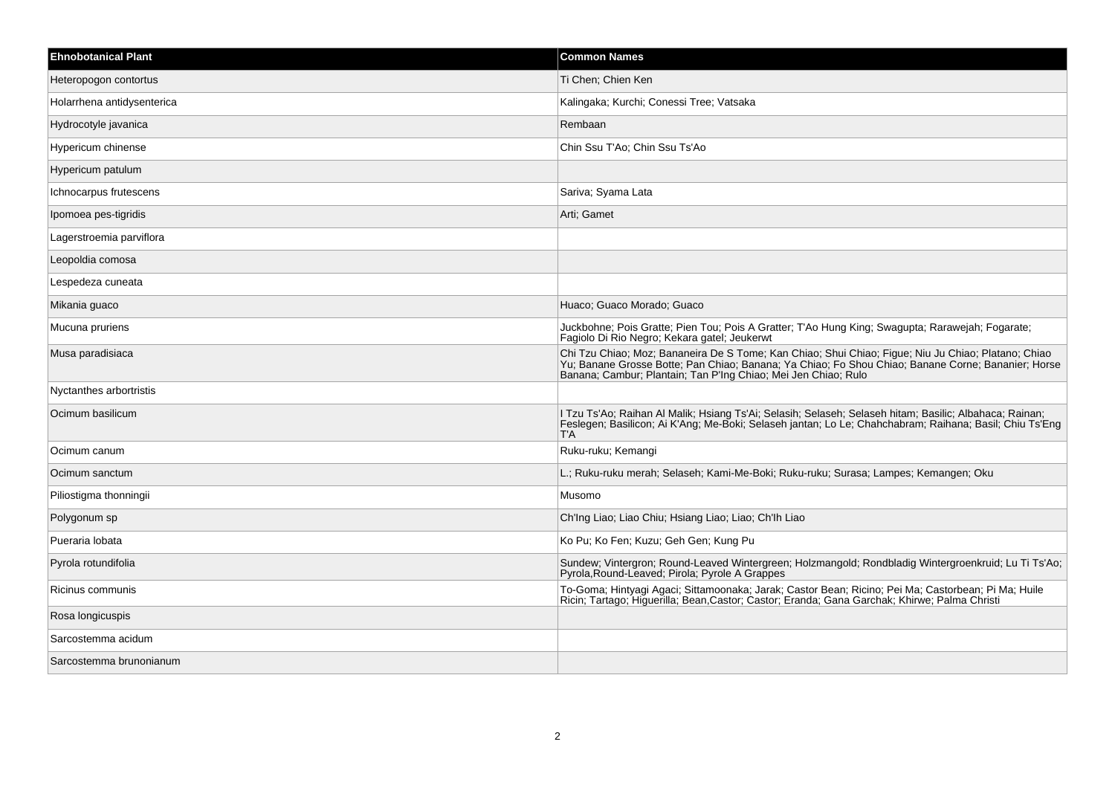| <b>Ehnobotanical Plant</b> | <b>Common Names</b>                                                                                                                                                                                                                                                         |
|----------------------------|-----------------------------------------------------------------------------------------------------------------------------------------------------------------------------------------------------------------------------------------------------------------------------|
| Heteropogon contortus      | Ti Chen; Chien Ken                                                                                                                                                                                                                                                          |
| Holarrhena antidysenterica | Kalingaka; Kurchi; Conessi Tree; Vatsaka                                                                                                                                                                                                                                    |
| Hydrocotyle javanica       | Rembaan                                                                                                                                                                                                                                                                     |
| Hypericum chinense         | Chin Ssu T'Ao; Chin Ssu Ts'Ao                                                                                                                                                                                                                                               |
| Hypericum patulum          |                                                                                                                                                                                                                                                                             |
| Ichnocarpus frutescens     | Sariva; Syama Lata                                                                                                                                                                                                                                                          |
| Ipomoea pes-tigridis       | Arti: Gamet                                                                                                                                                                                                                                                                 |
| Lagerstroemia parviflora   |                                                                                                                                                                                                                                                                             |
| Leopoldia comosa           |                                                                                                                                                                                                                                                                             |
| Lespedeza cuneata          |                                                                                                                                                                                                                                                                             |
| Mikania guaco              | Huaco; Guaco Morado; Guaco                                                                                                                                                                                                                                                  |
| Mucuna pruriens            | Juckbohne; Pois Gratte; Pien Tou; Pois A Gratter; T'Ao Hung King; Swagupta; Rarawejah; Fogarate;<br>Fagiolo Di Rio Negro; Kekara gatel; Jeukerwt                                                                                                                            |
| Musa paradisiaca           | Chi Tzu Chiao; Moz; Bananeira De S Tome; Kan Chiao; Shui Chiao; Figue; Niu Ju Chiao; Platano; Chiao<br>Yu; Banane Grosse Botte; Pan Chiao; Banana; Ya Chiao; Fo Shou Chiao; Banane Corne; Bananier; Horse<br>Banana; Cambur; Plantain; Tan P'Ing Chiao; Mei Jen Chiao; Rulo |
| Nyctanthes arbortristis    |                                                                                                                                                                                                                                                                             |
| Ocimum basilicum           | I Tzu Ts'Ao; Raihan Al Malik; Hsiang Ts'Ai; Selasih; Selaseh; Selaseh hitam; Basilic; Albahaca; Rainan;<br>Feslegen; Basilicon; Ai K'Ang; Me-Boki; Selaseh jantan; Lo Le; Chahchabram; Raihana; Basil; Chiu Ts'Eng<br>T'A                                                   |
| Ocimum canum               | Ruku-ruku; Kemangi                                                                                                                                                                                                                                                          |
| Ocimum sanctum             | L.; Ruku-ruku merah; Selaseh; Kami-Me-Boki; Ruku-ruku; Surasa; Lampes; Kemangen; Oku                                                                                                                                                                                        |
| Piliostigma thonningii     | Musomo                                                                                                                                                                                                                                                                      |
| Polygonum sp               | Ch'Ing Liao; Liao Chiu; Hsiang Liao; Liao; Ch'Ih Liao                                                                                                                                                                                                                       |
| Pueraria lobata            | Ko Pu; Ko Fen; Kuzu; Geh Gen; Kung Pu                                                                                                                                                                                                                                       |
| Pyrola rotundifolia        | Sundew; Vintergron; Round-Leaved Wintergreen; Holzmangold; Rondbladig Wintergroenkruid; Lu Ti Ts'Ao;<br>Pyrola, Round-Leaved; Pirola; Pyrole A Grappes                                                                                                                      |
| Ricinus communis           | To-Goma; Hintyagi Agaci; Sittamoonaka; Jarak; Castor Bean; Ricino; Pei Ma; Castorbean; Pi Ma; Huile<br>Ricin; Tartago; Higuerilla; Bean,Castor; Castor; Eranda; Gana Garchak; Khirwe; Palma Christi                                                                         |
| Rosa longicuspis           |                                                                                                                                                                                                                                                                             |
| Sarcostemma acidum         |                                                                                                                                                                                                                                                                             |
| Sarcostemma brunonianum    |                                                                                                                                                                                                                                                                             |